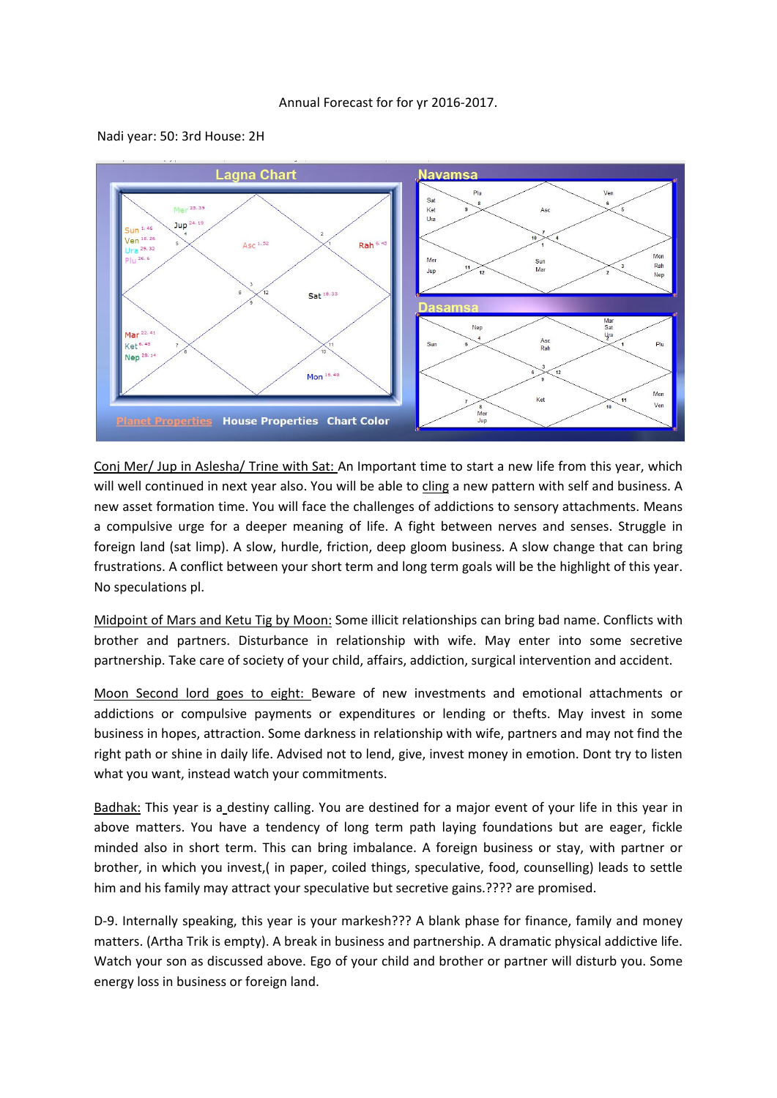## Annual Forecast for for yr 2016-2017.





Conj Mer/ Jup in Aslesha/ Trine with Sat: An Important time to start a new life from this year, which will well continued in next year also. You will be able to cling a new pattern with self and business. A new asset formation time. You will face the challenges of addictions to sensory attachments. Means a compulsive urge for a deeper meaning of life. A fight between nerves and senses. Struggle in foreign land (sat limp). A slow, hurdle, friction, deep gloom business. A slow change that can bring frustrations. A conflict between your short term and long term goals will be the highlight of this year. No speculations pl.

Midpoint of Mars and Ketu Tig by Moon: Some illicit relationships can bring bad name. Conflicts with brother and partners. Disturbance in relationship with wife. May enter into some secretive partnership. Take care of society of your child, affairs, addiction, surgical intervention and accident.

Moon Second lord goes to eight: Beware of new investments and emotional attachments or addictions or compulsive payments or expenditures or lending or thefts. May invest in some business in hopes, attraction. Some darkness in relationship with wife, partners and may not find the right path or shine in daily life. Advised not to lend, give, invest money in emotion. Dont try to listen what you want, instead watch your commitments.

Badhak: This year is a destiny calling. You are destined for a major event of your life in this year in above matters. You have a tendency of long term path laying foundations but are eager, fickle minded also in short term. This can bring imbalance. A foreign business or stay, with partner or brother, in which you invest,( in paper, coiled things, speculative, food, counselling) leads to settle him and his family may attract your speculative but secretive gains.???? are promised.

D-9. Internally speaking, this year is your markesh??? A blank phase for finance, family and money matters. (Artha Trik is empty). A break in business and partnership. A dramatic physical addictive life. Watch your son as discussed above. Ego of your child and brother or partner will disturb you. Some energy loss in business or foreign land.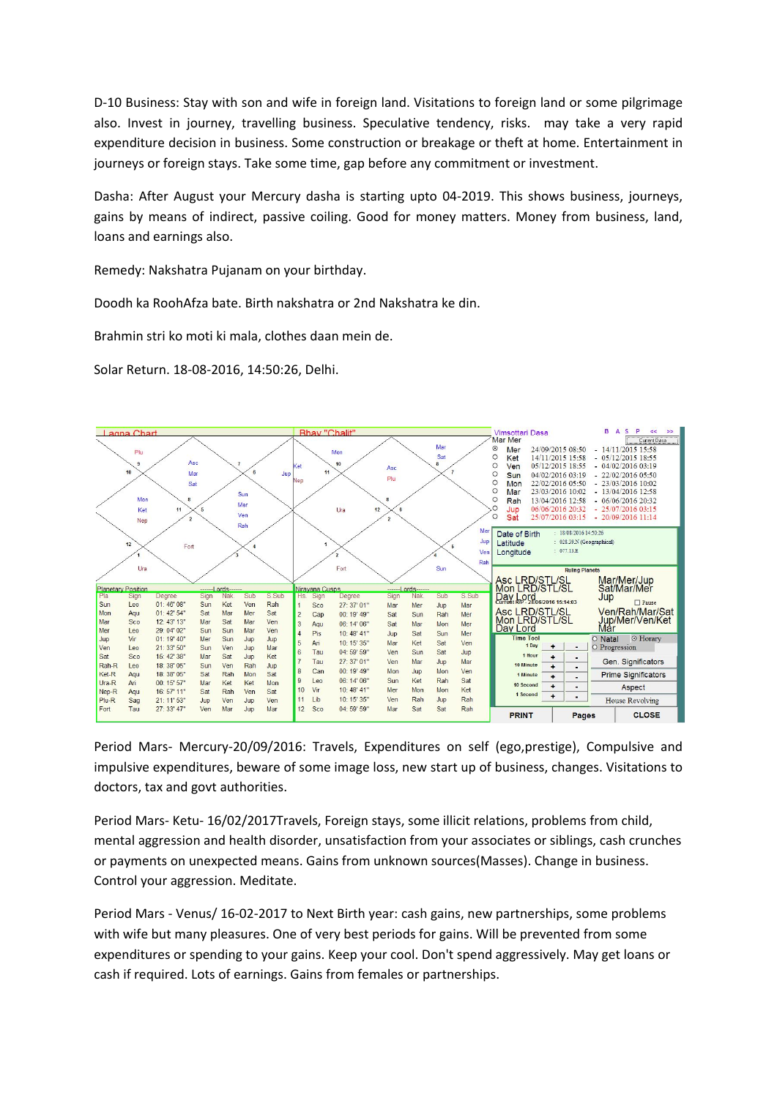D-10 Business: Stay with son and wife in foreign land. Visitations to foreign land or some pilgrimage also. Invest in journey, travelling business. Speculative tendency, risks. may take a very rapid expenditure decision in business. Some construction or breakage or theft at home. Entertainment in journeys or foreign stays. Take some time, gap before any commitment or investment.

Dasha: After August your Mercury dasha is starting upto 04-2019. This shows business, journeys, gains by means of indirect, passive coiling. Good for money matters. Money from business, land, loans and earnings also.

Remedy: Nakshatra Pujanam on your birthday.

Doodh ka RoohAfza bate. Birth nakshatra or 2nd Nakshatra ke din.

Brahmin stri ko moti ki mala, clothes daan mein de.

Solar Return. 18-08-2016, 14:50:26, Delhi.



Period Mars- Mercury-20/09/2016: Travels, Expenditures on self (ego,prestige), Compulsive and impulsive expenditures, beware of some image loss, new start up of business, changes. Visitations to doctors, tax and govt authorities.

Period Mars- Ketu- 16/02/2017Travels, Foreign stays, some illicit relations, problems from child, mental aggression and health disorder, unsatisfaction from your associates or siblings, cash crunches or payments on unexpected means. Gains from unknown sources(Masses). Change in business. Control your aggression. Meditate.

Period Mars - Venus/ 16-02-2017 to Next Birth year: cash gains, new partnerships, some problems with wife but many pleasures. One of very best periods for gains. Will be prevented from some expenditures or spending to your gains. Keep your cool. Don't spend aggressively. May get loans or cash if required. Lots of earnings. Gains from females or partnerships.